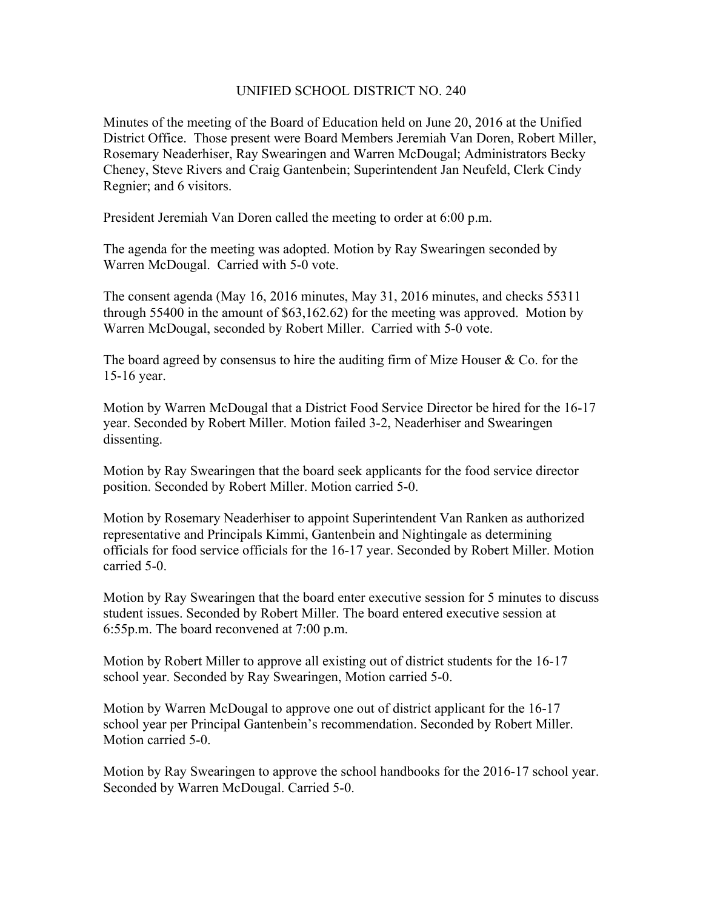## UNIFIED SCHOOL DISTRICT NO. 240

Minutes of the meeting of the Board of Education held on June 20, 2016 at the Unified District Office. Those present were Board Members Jeremiah Van Doren, Robert Miller, Rosemary Neaderhiser, Ray Swearingen and Warren McDougal; Administrators Becky Cheney, Steve Rivers and Craig Gantenbein; Superintendent Jan Neufeld, Clerk Cindy Regnier; and 6 visitors.

President Jeremiah Van Doren called the meeting to order at 6:00 p.m.

The agenda for the meeting was adopted. Motion by Ray Swearingen seconded by Warren McDougal. Carried with 5-0 vote.

The consent agenda (May 16, 2016 minutes, May 31, 2016 minutes, and checks 55311 through 55400 in the amount of \$63,162.62) for the meeting was approved. Motion by Warren McDougal, seconded by Robert Miller. Carried with 5-0 vote.

The board agreed by consensus to hire the auditing firm of Mize Houser  $\&$  Co. for the 15-16 year.

Motion by Warren McDougal that a District Food Service Director be hired for the 16-17 year. Seconded by Robert Miller. Motion failed 3-2, Neaderhiser and Swearingen dissenting.

Motion by Ray Swearingen that the board seek applicants for the food service director position. Seconded by Robert Miller. Motion carried 5-0.

Motion by Rosemary Neaderhiser to appoint Superintendent Van Ranken as authorized representative and Principals Kimmi, Gantenbein and Nightingale as determining officials for food service officials for the 16-17 year. Seconded by Robert Miller. Motion carried 5-0.

Motion by Ray Swearingen that the board enter executive session for 5 minutes to discuss student issues. Seconded by Robert Miller. The board entered executive session at 6:55p.m. The board reconvened at 7:00 p.m.

Motion by Robert Miller to approve all existing out of district students for the 16-17 school year. Seconded by Ray Swearingen, Motion carried 5-0.

Motion by Warren McDougal to approve one out of district applicant for the 16-17 school year per Principal Gantenbein's recommendation. Seconded by Robert Miller. Motion carried 5-0.

Motion by Ray Swearingen to approve the school handbooks for the 2016-17 school year. Seconded by Warren McDougal. Carried 5-0.